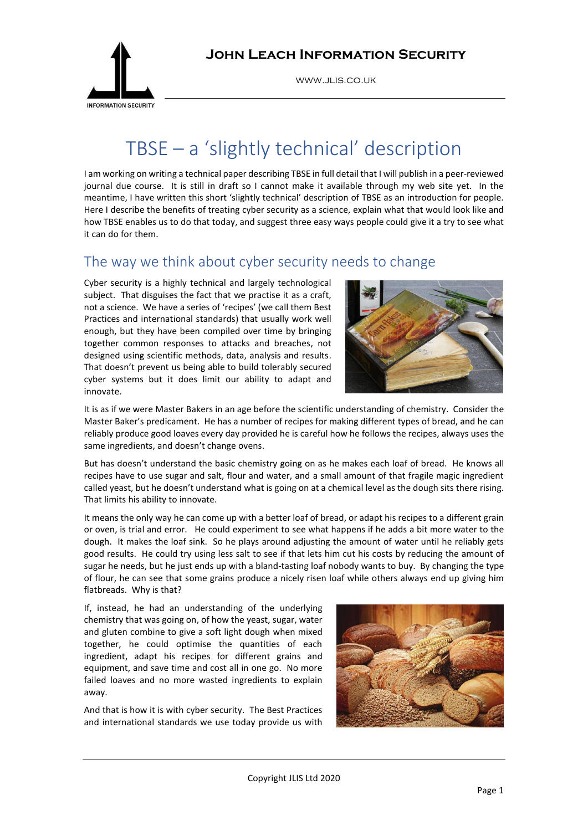

www.jlis.co.uk

# TBSE – a 'slightly technical' description

I am working on writing a technical paper describing TBSE in full detail that I will publish in a peer-reviewed journal due course. It is still in draft so I cannot make it available through my web site yet. In the meantime, I have written this short 'slightly technical' description of TBSE as an introduction for people. Here I describe the benefits of treating cyber security as a science, explain what that would look like and how TBSE enables us to do that today, and suggest three easy ways people could give it a try to see what it can do for them.

## The way we think about cyber security needs to change

Cyber security is a highly technical and largely technological subject. That disguises the fact that we practise it as a craft, not a science. We have a series of 'recipes' (we call them Best Practices and international standards) that usually work well enough, but they have been compiled over time by bringing together common responses to attacks and breaches, not designed using scientific methods, data, analysis and results. That doesn't prevent us being able to build tolerably secured cyber systems but it does limit our ability to adapt and innovate.



It is as if we were Master Bakers in an age before the scientific understanding of chemistry. Consider the Master Baker's predicament. He has a number of recipes for making different types of bread, and he can reliably produce good loaves every day provided he is careful how he follows the recipes, always uses the same ingredients, and doesn't change ovens.

But has doesn't understand the basic chemistry going on as he makes each loaf of bread. He knows all recipes have to use sugar and salt, flour and water, and a small amount of that fragile magic ingredient called yeast, but he doesn't understand what is going on at a chemical level as the dough sits there rising. That limits his ability to innovate.

It means the only way he can come up with a better loaf of bread, or adapt his recipes to a different grain or oven, is trial and error. He could experiment to see what happens if he adds a bit more water to the dough. It makes the loaf sink. So he plays around adjusting the amount of water until he reliably gets good results. He could try using less salt to see if that lets him cut his costs by reducing the amount of sugar he needs, but he just ends up with a bland-tasting loaf nobody wants to buy. By changing the type of flour, he can see that some grains produce a nicely risen loaf while others always end up giving him flatbreads. Why is that?

If, instead, he had an understanding of the underlying chemistry that was going on, of how the yeast, sugar, water and gluten combine to give a soft light dough when mixed together, he could optimise the quantities of each ingredient, adapt his recipes for different grains and equipment, and save time and cost all in one go. No more failed loaves and no more wasted ingredients to explain away.

And that is how it is with cyber security. The Best Practices and international standards we use today provide us with

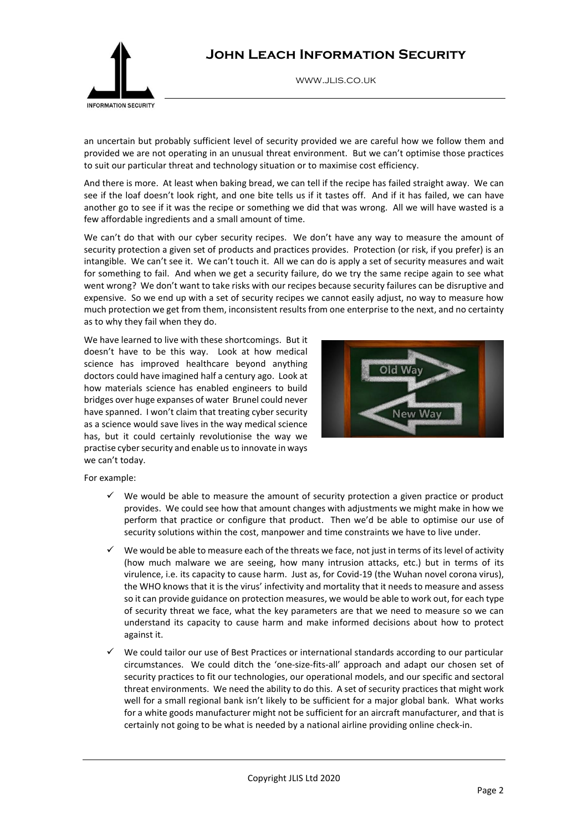

www.jlis.co.uk



an uncertain but probably sufficient level of security provided we are careful how we follow them and provided we are not operating in an unusual threat environment. But we can't optimise those practices to suit our particular threat and technology situation or to maximise cost efficiency.

And there is more. At least when baking bread, we can tell if the recipe has failed straight away. We can see if the loaf doesn't look right, and one bite tells us if it tastes off. And if it has failed, we can have another go to see if it was the recipe or something we did that was wrong. All we will have wasted is a few affordable ingredients and a small amount of time.

We can't do that with our cyber security recipes. We don't have any way to measure the amount of security protection a given set of products and practices provides. Protection (or risk, if you prefer) is an intangible. We can't see it. We can't touch it. All we can do is apply a set of security measures and wait for something to fail. And when we get a security failure, do we try the same recipe again to see what went wrong? We don't want to take risks with our recipes because security failures can be disruptive and expensive. So we end up with a set of security recipes we cannot easily adjust, no way to measure how much protection we get from them, inconsistent results from one enterprise to the next, and no certainty as to why they fail when they do.

We have learned to live with these shortcomings. But it doesn't have to be this way. Look at how medical science has improved healthcare beyond anything doctors could have imagined half a century ago. Look at how materials science has enabled engineers to build bridges over huge expanses of water Brunel could never have spanned. I won't claim that treating cyber security as a science would save lives in the way medical science has, but it could certainly revolutionise the way we practise cyber security and enable us to innovate in ways we can't today.



For example:

- We would be able to measure the amount of security protection a given practice or product provides. We could see how that amount changes with adjustments we might make in how we perform that practice or configure that product. Then we'd be able to optimise our use of security solutions within the cost, manpower and time constraints we have to live under.
- We would be able to measure each of the threats we face, not just in terms of its level of activity (how much malware we are seeing, how many intrusion attacks, etc.) but in terms of its virulence, i.e. its capacity to cause harm. Just as, for Covid-19 (the Wuhan novel corona virus), the WHO knows that it is the virus' infectivity and mortality that it needs to measure and assess so it can provide guidance on protection measures, we would be able to work out, for each type of security threat we face, what the key parameters are that we need to measure so we can understand its capacity to cause harm and make informed decisions about how to protect against it.
- We could tailor our use of Best Practices or international standards according to our particular circumstances. We could ditch the 'one-size-fits-all' approach and adapt our chosen set of security practices to fit our technologies, our operational models, and our specific and sectoral threat environments. We need the ability to do this. A set of security practices that might work well for a small regional bank isn't likely to be sufficient for a major global bank. What works for a white goods manufacturer might not be sufficient for an aircraft manufacturer, and that is certainly not going to be what is needed by a national airline providing online check-in.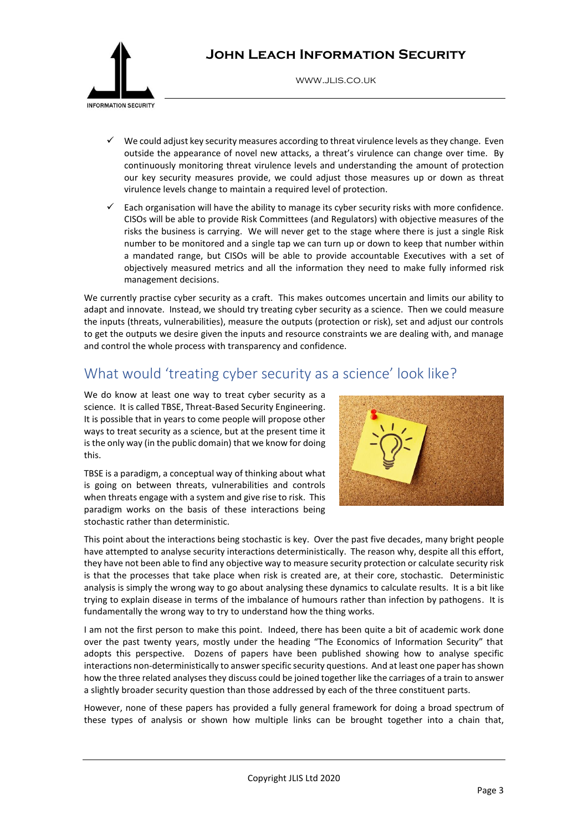

www.jlis.co.uk

- We could adjust key security measures according to threat virulence levels as they change. Even outside the appearance of novel new attacks, a threat's virulence can change over time. By continuously monitoring threat virulence levels and understanding the amount of protection our key security measures provide, we could adjust those measures up or down as threat virulence levels change to maintain a required level of protection.
- Each organisation will have the ability to manage its cyber security risks with more confidence. CISOs will be able to provide Risk Committees (and Regulators) with objective measures of the risks the business is carrying. We will never get to the stage where there is just a single Risk number to be monitored and a single tap we can turn up or down to keep that number within a mandated range, but CISOs will be able to provide accountable Executives with a set of objectively measured metrics and all the information they need to make fully informed risk management decisions.

We currently practise cyber security as a craft. This makes outcomes uncertain and limits our ability to adapt and innovate. Instead, we should try treating cyber security as a science. Then we could measure the inputs (threats, vulnerabilities), measure the outputs (protection or risk), set and adjust our controls to get the outputs we desire given the inputs and resource constraints we are dealing with, and manage and control the whole process with transparency and confidence.

# What would 'treating cyber security as a science' look like?

We do know at least one way to treat cyber security as a science. It is called TBSE, Threat-Based Security Engineering. It is possible that in years to come people will propose other ways to treat security as a science, but at the present time it is the only way (in the public domain) that we know for doing this.

TBSE is a paradigm, a conceptual way of thinking about what is going on between threats, vulnerabilities and controls when threats engage with a system and give rise to risk. This paradigm works on the basis of these interactions being stochastic rather than deterministic.



This point about the interactions being stochastic is key. Over the past five decades, many bright people have attempted to analyse security interactions deterministically. The reason why, despite all this effort, they have not been able to find any objective way to measure security protection or calculate security risk is that the processes that take place when risk is created are, at their core, stochastic. Deterministic analysis is simply the wrong way to go about analysing these dynamics to calculate results. It is a bit like trying to explain disease in terms of the imbalance of humours rather than infection by pathogens. It is fundamentally the wrong way to try to understand how the thing works.

I am not the first person to make this point. Indeed, there has been quite a bit of academic work done over the past twenty years, mostly under the heading "The Economics of Information Security" that adopts this perspective. Dozens of papers have been published showing how to analyse specific interactions non-deterministically to answer specific security questions. And at least one paper has shown how the three related analyses they discuss could be joined together like the carriages of a train to answer a slightly broader security question than those addressed by each of the three constituent parts.

However, none of these papers has provided a fully general framework for doing a broad spectrum of these types of analysis or shown how multiple links can be brought together into a chain that,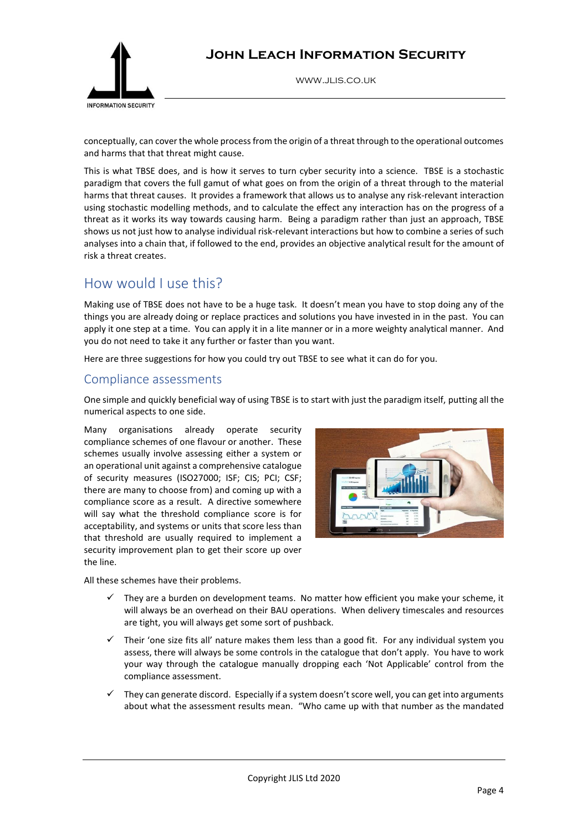

www.jlis.co.uk

conceptually, can cover the whole process from the origin of a threat through to the operational outcomes and harms that that threat might cause.

This is what TBSE does, and is how it serves to turn cyber security into a science. TBSE is a stochastic paradigm that covers the full gamut of what goes on from the origin of a threat through to the material harms that threat causes. It provides a framework that allows us to analyse any risk-relevant interaction using stochastic modelling methods, and to calculate the effect any interaction has on the progress of a threat as it works its way towards causing harm. Being a paradigm rather than just an approach, TBSE shows us not just how to analyse individual risk-relevant interactions but how to combine a series of such analyses into a chain that, if followed to the end, provides an objective analytical result for the amount of risk a threat creates.

# How would I use this?

Making use of TBSE does not have to be a huge task. It doesn't mean you have to stop doing any of the things you are already doing or replace practices and solutions you have invested in in the past. You can apply it one step at a time. You can apply it in a lite manner or in a more weighty analytical manner. And you do not need to take it any further or faster than you want.

Here are three suggestions for how you could try out TBSE to see what it can do for you.

#### Compliance assessments

One simple and quickly beneficial way of using TBSE is to start with just the paradigm itself, putting all the numerical aspects to one side.

Many organisations already operate security compliance schemes of one flavour or another. These schemes usually involve assessing either a system or an operational unit against a comprehensive catalogue of security measures (ISO27000; ISF; CIS; PCI; CSF; there are many to choose from) and coming up with a compliance score as a result. A directive somewhere will say what the threshold compliance score is for acceptability, and systems or units that score less than that threshold are usually required to implement a security improvement plan to get their score up over the line.

All these schemes have their problems.



- They are a burden on development teams. No matter how efficient you make your scheme, it will always be an overhead on their BAU operations. When delivery timescales and resources are tight, you will always get some sort of pushback.
- Their 'one size fits all' nature makes them less than a good fit. For any individual system you assess, there will always be some controls in the catalogue that don't apply. You have to work your way through the catalogue manually dropping each 'Not Applicable' control from the compliance assessment.
- They can generate discord. Especially if a system doesn't score well, you can get into arguments about what the assessment results mean. "Who came up with that number as the mandated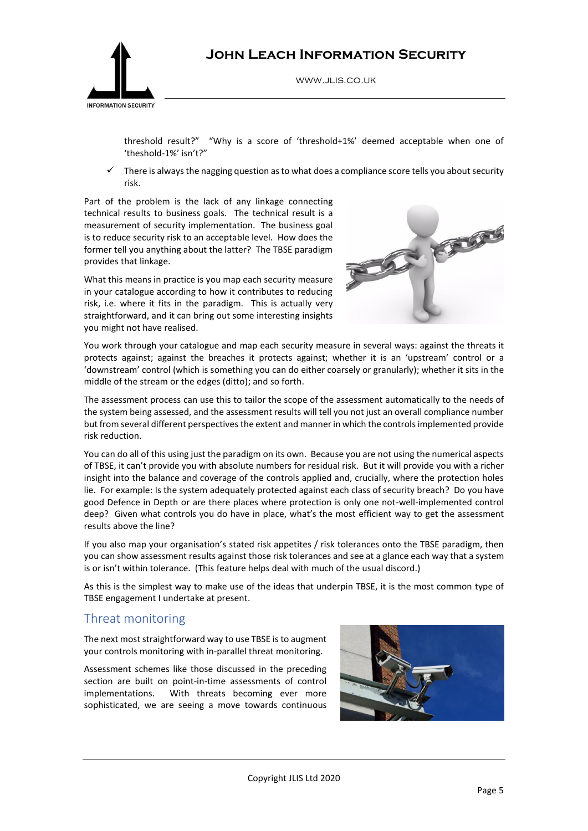

www.jlis.co.uk

threshold result?" "Why is a score of 'threshold+1%' deemed acceptable when one of 'theshold-1%' isn't?"

 $\checkmark$  There is always the nagging question as to what does a compliance score tells you about security risk.

Part of the problem is the lack of any linkage connecting technical results to business goals. The technical result is a measurement of security implementation. The business goal is to reduce security risk to an acceptable level. How does the former tell you anything about the latter? The TBSE paradigm provides that linkage.

What this means in practice is you map each security measure in your catalogue according to how it contributes to reducing risk, i.e. where it fits in the paradigm. This is actually very straightforward, and it can bring out some interesting insights you might not have realised.



You work through your catalogue and map each security measure in several ways: against the threats it protects against; against the breaches it protects against; whether it is an 'upstream' control or a 'downstream' control (which is something you can do either coarsely or granularly); whether it sits in the middle of the stream or the edges (ditto); and so forth.

The assessment process can use this to tailor the scope of the assessment automatically to the needs of the system being assessed, and the assessment results will tell you not just an overall compliance number but from several different perspectives the extent and manner in which the controls implemented provide risk reduction.

You can do all of this using just the paradigm on its own. Because you are not using the numerical aspects of TBSE, it can't provide you with absolute numbers for residual risk. But it will provide you with a richer insight into the balance and coverage of the controls applied and, crucially, where the protection holes lie. For example: Is the system adequately protected against each class of security breach? Do you have good Defence in Depth or are there places where protection is only one not-well-implemented control deep? Given what controls you do have in place, what's the most efficient way to get the assessment results above the line?

If you also map your organisation's stated risk appetites / risk tolerances onto the TBSE paradigm, then you can show assessment results against those risk tolerances and see at a glance each way that a system is or isn't within tolerance. (This feature helps deal with much of the usual discord.)

As this is the simplest way to make use of the ideas that underpin TBSE, it is the most common type of TBSE engagement I undertake at present.

#### Threat monitoring

The next most straightforward way to use TBSE is to augment your controls monitoring with in-parallel threat monitoring.

Assessment schemes like those discussed in the preceding section are built on point-in-time assessments of control implementations. With threats becoming ever more sophisticated, we are seeing a move towards continuous

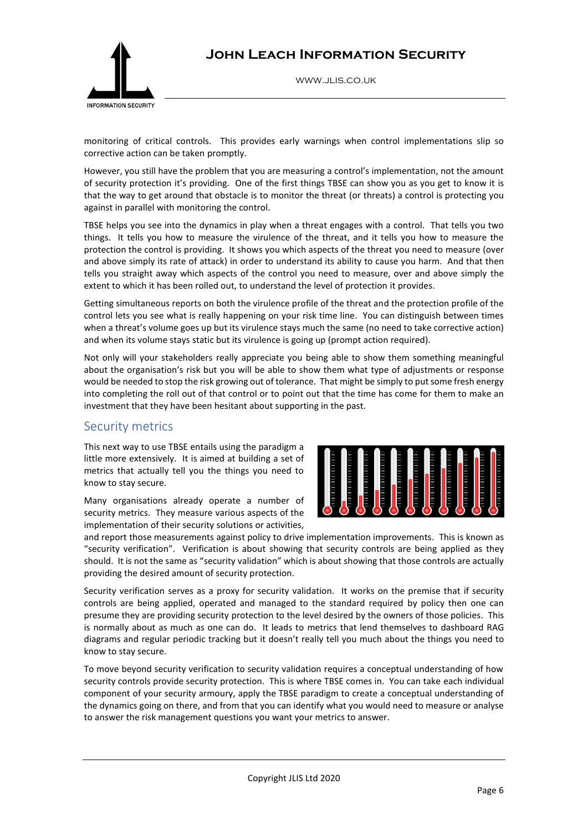

www.jlis.co.uk

monitoring of critical controls. This provides early warnings when control implementations slip so corrective action can be taken promptly.

However, you still have the problem that you are measuring a control's implementation, not the amount of security protection it's providing. One of the first things TBSE can show you as you get to know it is that the way to get around that obstacle is to monitor the threat (or threats) a control is protecting you against in parallel with monitoring the control.

TBSE helps you see into the dynamics in play when a threat engages with a control. That tells you two things. It tells you how to measure the virulence of the threat, and it tells you how to measure the protection the control is providing. It shows you which aspects of the threat you need to measure (over and above simply its rate of attack) in order to understand its ability to cause you harm. And that then tells you straight away which aspects of the control you need to measure, over and above simply the extent to which it has been rolled out, to understand the level of protection it provides.

Getting simultaneous reports on both the virulence profile of the threat and the protection profile of the control lets you see what is really happening on your risk time line. You can distinguish between times when a threat's volume goes up but its virulence stays much the same (no need to take corrective action) and when its volume stays static but its virulence is going up (prompt action required).

Not only will your stakeholders really appreciate you being able to show them something meaningful about the organisation's risk but you will be able to show them what type of adjustments or response would be needed to stop the risk growing out of tolerance. That might be simply to put some fresh energy into completing the roll out of that control or to point out that the time has come for them to make an investment that they have been hesitant about supporting in the past.

#### Security metrics

This next way to use TBSE entails using the paradigm a little more extensively. It is aimed at building a set of metrics that actually tell you the things you need to know to stay secure.

Many organisations already operate a number of security metrics. They measure various aspects of the implementation of their security solutions or activities,



and report those measurements against policy to drive implementation improvements. This is known as "security verification". Verification is about showing that security controls are being applied as they should. It is not the same as "security validation" which is about showing that those controls are actually providing the desired amount of security protection.

Security verification serves as a proxy for security validation. It works on the premise that if security controls are being applied, operated and managed to the standard required by policy then one can presume they are providing security protection to the level desired by the owners of those policies. This is normally about as much as one can do. It leads to metrics that lend themselves to dashboard RAG diagrams and regular periodic tracking but it doesn't really tell you much about the things you need to know to stay secure.

To move beyond security verification to security validation requires a conceptual understanding of how security controls provide security protection. This is where TBSE comes in. You can take each individual component of your security armoury, apply the TBSE paradigm to create a conceptual understanding of the dynamics going on there, and from that you can identify what you would need to measure or analyse to answer the risk management questions you want your metrics to answer.